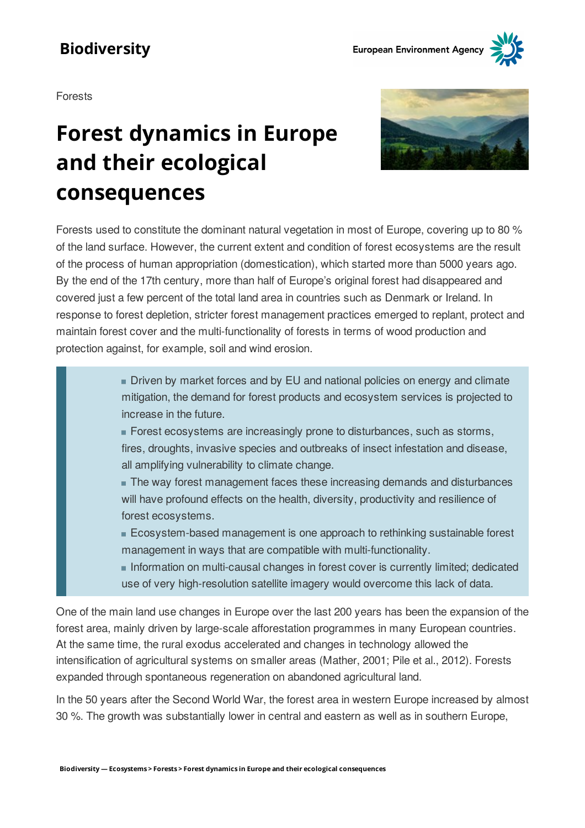Forests

# **Forest dynamics in Europe and their ecological consequences**



Forests used to constitute the dominant natural vegetation in most of Europe, covering up to 80 % of the land surface. However, the current extent and condition of forest ecosystems are the result of the process of human appropriation (domestication), which started more than 5000 years ago. By the end of the 17th century, more than half of Europe's original forest had disappeared and covered just a few percent of the total land area in countries such as Denmark or Ireland. In response to forest depletion, stricter forest management practices emerged to replant, protect and maintain forest cover and the multi-functionality of forests in terms of wood production and protection against, for example, soil and wind erosion.

> Driven by market forces and by EU and national policies on energy and climate mitigation, the demand for forest products and ecosystem services is projected to increase in the future.

Forest ecosystems are increasingly prone to disturbances, such as storms, fires, droughts, invasive species and outbreaks of insect infestation and disease, all amplifying vulnerability to climate change.

The way forest management faces these increasing demands and disturbances will have profound effects on the health, diversity, productivity and resilience of forest ecosystems.

Ecosystem-based management is one approach to rethinking sustainable forest management in ways that are compatible with multi-functionality.

Information on multi-causal changes in forest cover is currently limited; dedicated use of very high-resolution satellite imagery would overcome this lack of data.

One of the main land use changes in Europe over the last 200 years has been the expansion of the forest area, mainly driven by large-scale afforestation programmes in many European countries. At the same time, the rural exodus accelerated and changes in technology allowed the intensification of agricultural systems on smaller areas (Mather, 2001; Pile et al., 2012). Forests expanded through spontaneous regeneration on abandoned agricultural land.

In the 50 years after the Second World War, the forest area in western Europe increased by almost 30 %. The growth was substantially lower in central and eastern as well as in southern Europe,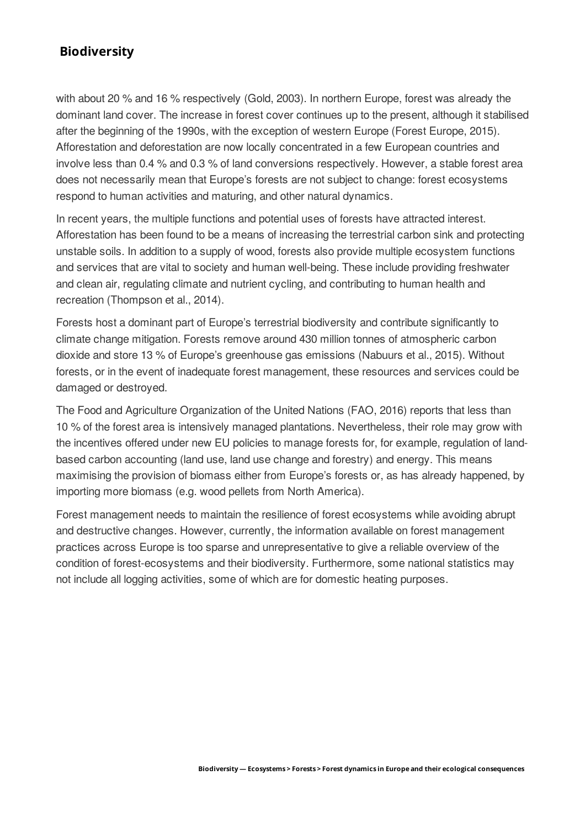with about 20 % and 16 % respectively (Gold, 2003). In northern Europe, forest was already the dominant land cover. The increase in forest cover continues up to the present, although it stabilised after the beginning of the 1990s, with the exception of western Europe (Forest Europe, 2015). Afforestation and deforestation are now locally concentrated in a few European countries and involve less than 0.4 % and 0.3 % of land conversions respectively. However, a stable forest area does not necessarily mean that Europe's forests are not subject to change: forest ecosystems respond to human activities and maturing, and other natural dynamics.

In recent years, the multiple functions and potential uses of forests have attracted interest. Afforestation has been found to be a means of increasing the terrestrial carbon sink and protecting unstable soils. In addition to a supply of wood, forests also provide multiple ecosystem functions and services that are vital to society and human well-being. These include providing freshwater and clean air, regulating climate and nutrient cycling, and contributing to human health and recreation (Thompson et al., 2014).

Forests host a dominant part of Europe's terrestrial biodiversity and contribute significantly to climate change mitigation. Forests remove around 430 million tonnes of atmospheric carbon dioxide and store 13 % of Europe's greenhouse gas emissions (Nabuurs et al., 2015). Without forests, or in the event of inadequate forest management, these resources and services could be damaged or destroyed.

The Food and Agriculture Organization of the United Nations (FAO, 2016) reports that less than 10 % of the forest area is intensively managed plantations. Nevertheless, their role may grow with the incentives offered under new EU policies to manage forests for, for example, regulation of landbased carbon accounting (land use, land use change and forestry) and energy. This means maximising the provision of biomass either from Europe's forests or, as has already happened, by importing more biomass (e.g. wood pellets from North America).

Forest management needs to maintain the resilience of forest ecosystems while avoiding abrupt and destructive changes. However, currently, the information available on forest management practices across Europe is too sparse and unrepresentative to give a reliable overview of the condition of forest-ecosystems and their biodiversity. Furthermore, some national statistics may not include all logging activities, some of which are for domestic heating purposes.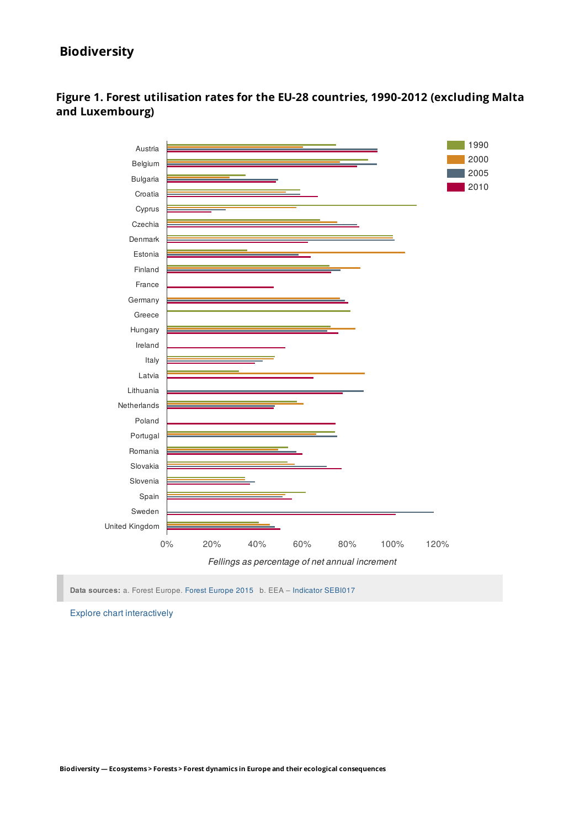

#### **Figure 1. Forest utilisation rates for the EU-28 countries, 1990-2012 (excluding Malta and Luxembourg)**

**Data sources:** a. Forest Europe. Forest Europe 2015 b. EEA - Indicator SEBI017

Explore chart interactively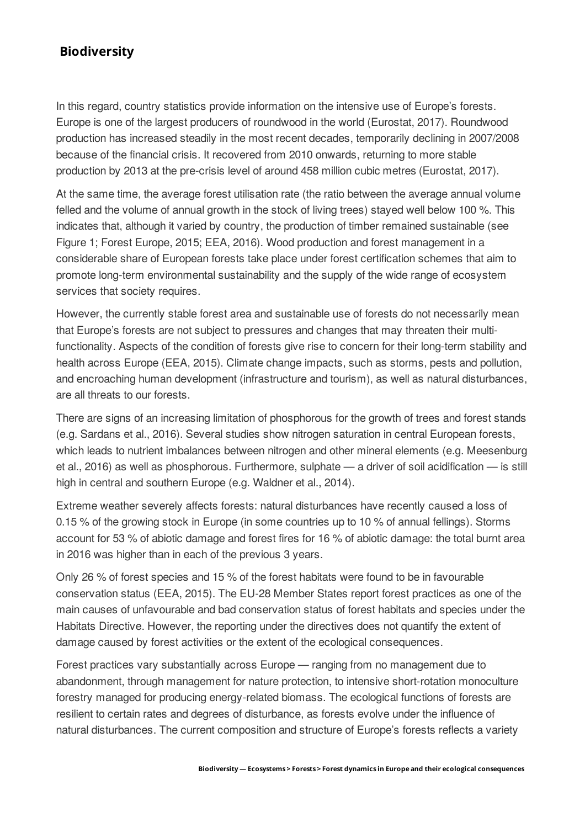In this regard, country statistics provide information on the intensive use of Europe's forests. Europe is one of the largest producers of roundwood in the world (Eurostat, 2017). Roundwood production has increased steadily in the most recent decades, temporarily declining in 2007/2008 because of the financial crisis. It recovered from 2010 onwards, returning to more stable production by 2013 at the pre-crisis level of around 458 million cubic metres (Eurostat, 2017).

At the same time, the average forest utilisation rate (the ratio between the average annual volume felled and the volume of annual growth in the stock of living trees) stayed well below 100 %. This indicates that, although it varied by country, the production of timber remained sustainable (see Figure 1; Forest Europe, 2015; EEA, 2016). Wood production and forest management in a considerable share of European forests take place under forest certification schemes that aim to promote long-term environmental sustainability and the supply of the wide range of ecosystem services that society requires.

However, the currently stable forest area and sustainable use of forests do not necessarily mean that Europe's forests are not subject to pressures and changes that may threaten their multifunctionality. Aspects of the condition of forests give rise to concern for their long-term stability and health across Europe (EEA, 2015). Climate change impacts, such as storms, pests and pollution, and encroaching human development (infrastructure and tourism), as well as natural disturbances, are all threats to our forests.

There are signs of an increasing limitation of phosphorous for the growth of trees and forest stands (e.g. Sardans et al., 2016). Several studies show nitrogen saturation in central European forests, which leads to nutrient imbalances between nitrogen and other mineral elements (e.g. Meesenburg et al., 2016) as well as phosphorous. Furthermore, sulphate  $-$  a driver of soil acidification  $-$  is still high in central and southern Europe (e.g. Waldner et al., 2014).

Extreme weather severely affects forests: natural disturbances have recently caused a loss of 0.15 % of the growing stock in Europe (in some countries up to 10 % of annual fellings). Storms account for 53 % of abiotic damage and forest fires for 16 % of abiotic damage: the total burnt area in 2016 was higher than in each of the previous 3 years.

Only 26 % of forest species and 15 % of the forest habitats were found to be in favourable conservation status (EEA, 2015). The EU-28 Member States report forest practices as one of the main causes of unfavourable and bad conservation status of forest habitats and species under the Habitats Directive. However, the reporting under the directives does not quantify the extent of damage caused by forest activities or the extent of the ecological consequences.

Forest practices vary substantially across Europe – ranging from no management due to abandonment, through management for nature protection, to intensive short-rotation monoculture forestry managed for producing energy-related biomass. The ecological functions of forests are resilient to certain rates and degrees of disturbance, as forests evolve under the influence of natural disturbances. The current composition and structure of Europe's forests reflects a variety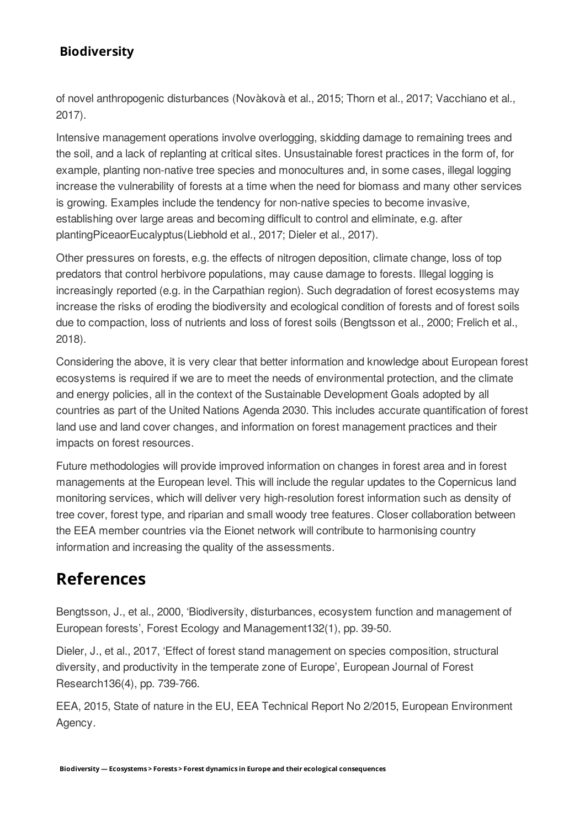of novel anthropogenic disturbances (Novàkovà et al., 2015; Thorn et al., 2017; Vacchiano et al., 2017).

Intensive management operations involve overlogging, skidding damage to remaining trees and the soil, and a lack of replanting at critical sites. Unsustainable forest practices in the form of, for example, planting non-native tree species and monocultures and, in some cases, illegal logging increase the vulnerability of forests at a time when the need for biomass and many other services is growing. Examples include the tendency for non-native species to become invasive, establishing over large areas and becoming difficult to control and eliminate, e.g. after plantingPiceaorEucalyptus(Liebhold et al., 2017; Dieler et al., 2017).

Other pressures on forests, e.g. the effects of nitrogen deposition, climate change, loss of top predators that control herbivore populations, may cause damage to forests. Illegal logging is increasingly reported (e.g. in the Carpathian region). Such degradation of forest ecosystems may increase the risks of eroding the biodiversity and ecological condition of forests and of forest soils due to compaction, loss of nutrients and loss of forest soils (Bengtsson et al., 2000; Frelich et al., 2018).

Considering the above, it is very clear that better information and knowledge about European forest ecosystems is required if we are to meet the needs of environmental protection, and the climate and energy policies, all in the context of the Sustainable Development Goals adopted by all countries as part of the United Nations Agenda 2030. This includes accurate quantification of forest land use and land cover changes, and information on forest management practices and their impacts on forest resources.

Future methodologies will provide improved information on changes in forest area and in forest managements at the European level. This will include the regular updates to the Copernicus land monitoring services, which will deliver very high-resolution forest information such as density of tree cover, forest type, and riparian and small woody tree features. Closer collaboration between the EEA member countries via the Eionet network will contribute to harmonising country information and increasing the quality of the assessments.

## **References**

Bengtsson, J., et al., 2000, 'Biodiversity, disturbances, ecosystem function and management of European forests', Forest Ecology and Management132(1), pp. 39-50.

Dieler, J., et al., 2017, Effect of forest stand management on species composition, structural diversity, and productivity in the temperate zone of Europe', European Journal of Forest Research136(4), pp. 739-766.

EEA, 2015, State of nature in the EU, EEA Technical Report No 2/2015, European Environment Agency.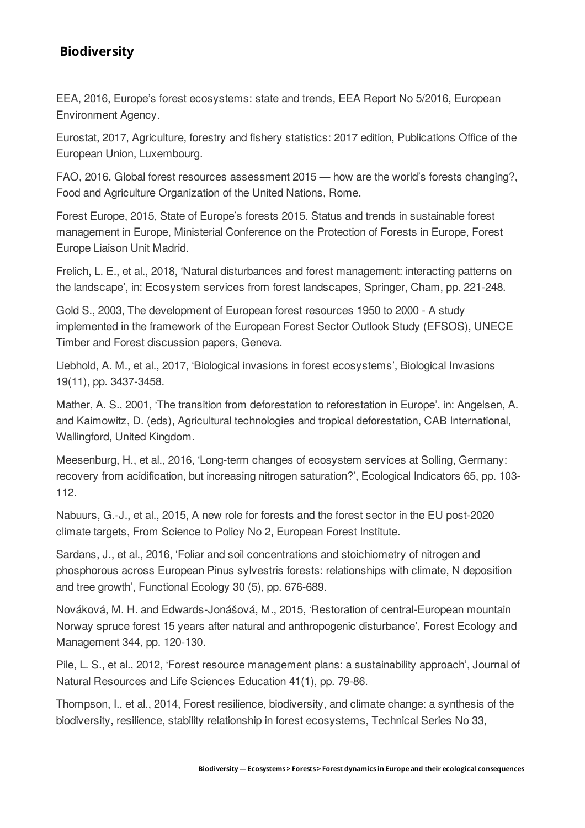EEA, 2016, Europe's forest ecosystems: state and trends, EEA Report No 5/2016, European Environment Agency.

Eurostat, 2017, Agriculture, forestry and fishery statistics: 2017 edition, Publications Office of the European Union, Luxembourg.

FAO, 2016, Global forest resources assessment 2015 – how are the world's forests changing?, Food and Agriculture Organization of the United Nations, Rome.

Forest Europe, 2015, State of Europe's forests 2015. Status and trends in sustainable forest management in Europe, Ministerial Conference on the Protection of Forests in Europe, Forest Europe Liaison Unit Madrid.

Frelich, L. E., et al., 2018, 'Natural disturbances and forest management: interacting patterns on the landscape, in: Ecosystem services from forest landscapes, Springer, Cham, pp. 221-248.

Gold S., 2003, The development of European forest resources 1950 to 2000 - A study implemented in the framework of the European Forest Sector Outlook Study (EFSOS), UNECE Timber and Forest discussion papers, Geneva.

Liebhold, A. M., et al., 2017, 'Biological invasions in forest ecosystems', Biological Invasions 19(11), pp. 3437-3458.

Mather, A. S., 2001, 'The transition from deforestation to reforestation in Europe', in: Angelsen, A. and Kaimowitz, D. (eds), Agricultural technologies and tropical deforestation, CAB International, Wallingford, United Kingdom.

Meesenburg, H., et al., 2016, Long-term changes of ecosystem services at Solling, Germany: recovery from acidification, but increasing nitrogen saturation?', Ecological Indicators 65, pp. 103-112.

Nabuurs, G.-J., et al., 2015, A new role for forests and the forest sector in the EU post-2020 climate targets, From Science to Policy No 2, European Forest Institute.

Sardans, J., et al., 2016, 'Foliar and soil concentrations and stoichiometry of nitrogen and phosphorous across European Pinus sylvestris forests: relationships with climate, N deposition and tree growth', Functional Ecology 30 (5), pp. 676-689.

Nováková, M. H. and Edwards-Jonášová, M., 2015, 'Restoration of central-European mountain Norway spruce forest 15 years after natural and anthropogenic disturbance', Forest Ecology and Management 344, pp. 120-130.

Pile, L. S., et al., 2012, 'Forest resource management plans; a sustainability approach', Journal of Natural Resources and Life Sciences Education 41(1), pp. 79-86.

Thompson, I., et al., 2014, Forest resilience, biodiversity, and climate change: a synthesis of the biodiversity, resilience, stability relationship in forest ecosystems, Technical Series No 33,